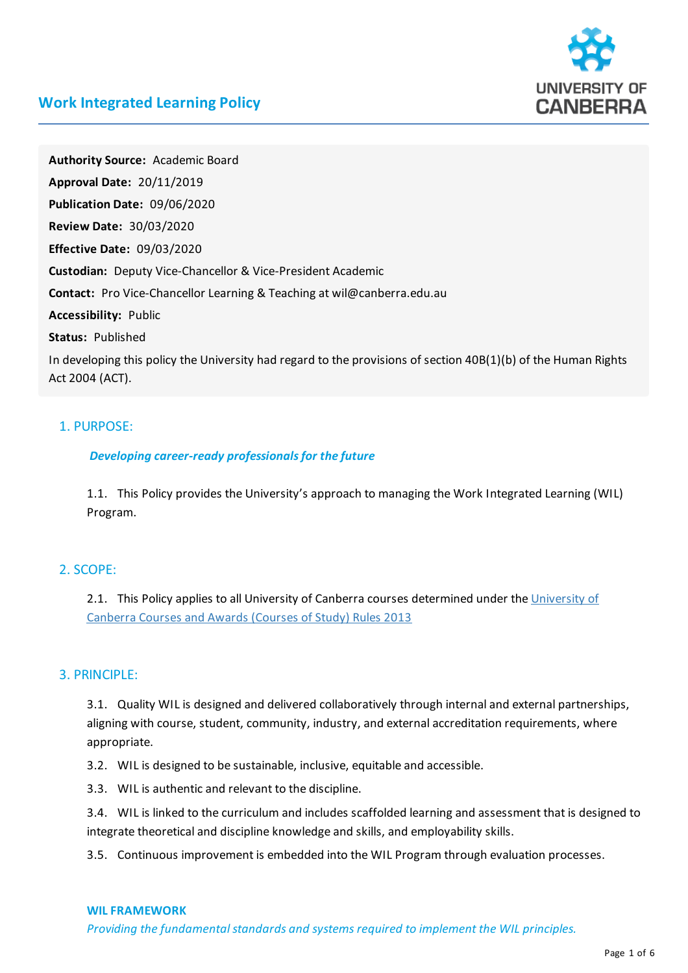

# **Work Integrated Learning Policy**

Authority Source: Academic Board **Approval Date:** 20/11/2019 **Publication Date:** 09/06/2020 **Review Date:** 30/03/2020 **Effective Date:** 09/03/2020 **Custodian:** Deputy Vice-Chancellor & Vice-President Academic **Contact:** Pro Vice-Chancellor Learning & Teachingat wil@canberra.edu.au **Accessibility:** Public **Status:** Published In developing this policy the University had regard to the provisions of section  $40B(1)(b)$  of the Human Rights Act 2004 (ACT).

## 1. PURPOSE:

### *Developing career-ready professionals for the future*

1.1. This Policy provides the University's approach to managingthe Work Integrated Learning(WIL) Program.

## 2.SCOPE:

2.1. This Policy applies to all University of Canberra courses determined under the University of Canberra Courses and Awards (Courses of Study) Rules 2013

#### 3. PRINCIPLE:

3.1. Quality WIL is designed and delivered collaboratively through internal and external partnerships, aligning with course, student, community, industry, and external accreditation requirements, where appropriate.

3.2. WIL is designed to be sustainable, inclusive, equitable and accessible.

3.3. WIL is authentic and relevant to the discipline.

3.4. WIL is linked to the curriculum and includes scaffolded learningand assessment that is designed to integrate theoretical and discipline knowledge and skills, and employability skills.

3.5. Continuous improvement is embedded into the WIL Program through evaluation processes.

#### **WILFRAMEWORK**

*Providing thefundamental standards and systems required to implement the WIL principles.*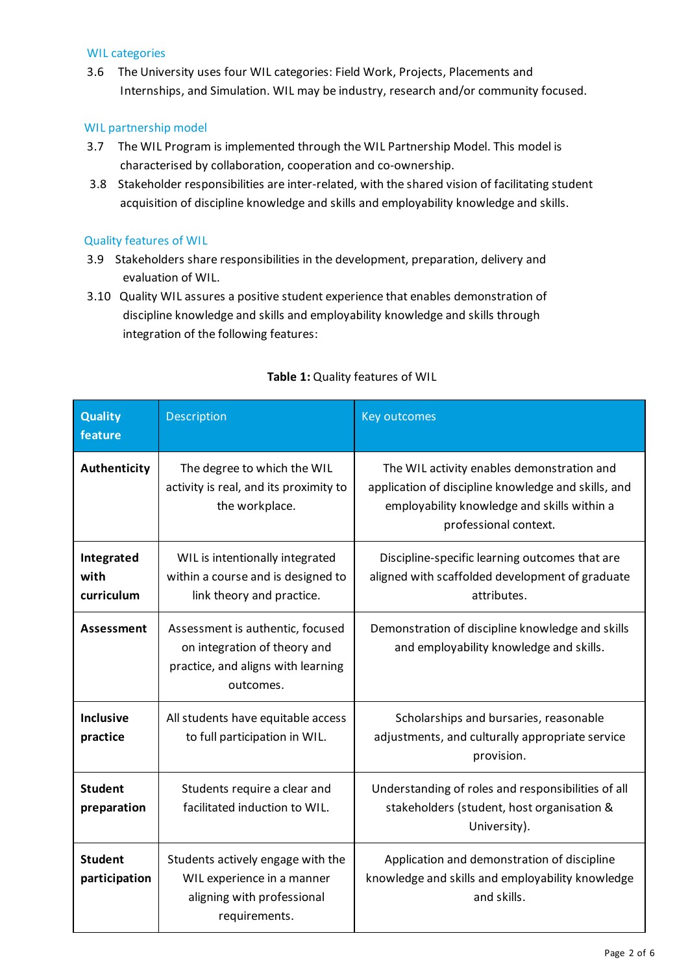### WIL categories

3.6 The University uses four WIL categories: Field Work, Projects, Placements and Internships, and Simulation. WIL may be industry, research and/or community focused.

## WIL partnership model

- 3.7 The WIL Program is implemented through the WIL Partnership Model.This model is characterised by collaboration, cooperation and co-ownership.
- 3.8 Stakeholder responsibilities are inter-related, with the shared vision of facilitating student acquisition of discipline knowledge and skills and employability knowledge and skills.

### Quality features of WIL

- 3.9 Stakeholders share responsibilities in the development, preparation, delivery and evaluation of WIL.
- 3.10 Quality WILassures a positive student experience that enables demonstration of discipline knowledge and skills and employability knowledge and skills through integration of the following features:

| <b>Quality</b><br>feature        | <b>Description</b>                                                                                                  | <b>Key outcomes</b>                                                                                                                                                       |
|----------------------------------|---------------------------------------------------------------------------------------------------------------------|---------------------------------------------------------------------------------------------------------------------------------------------------------------------------|
| Authenticity                     | The degree to which the WIL<br>activity is real, and its proximity to<br>the workplace.                             | The WIL activity enables demonstration and<br>application of discipline knowledge and skills, and<br>employability knowledge and skills within a<br>professional context. |
| Integrated<br>with<br>curriculum | WIL is intentionally integrated<br>within a course and is designed to<br>link theory and practice.                  | Discipline-specific learning outcomes that are<br>aligned with scaffolded development of graduate<br>attributes.                                                          |
| Assessment                       | Assessment is authentic, focused<br>on integration of theory and<br>practice, and aligns with learning<br>outcomes. | Demonstration of discipline knowledge and skills<br>and employability knowledge and skills.                                                                               |
| <b>Inclusive</b><br>practice     | All students have equitable access<br>to full participation in WIL.                                                 | Scholarships and bursaries, reasonable<br>adjustments, and culturally appropriate service<br>provision.                                                                   |
| <b>Student</b><br>preparation    | Students require a clear and<br>facilitated induction to WIL.                                                       | Understanding of roles and responsibilities of all<br>stakeholders (student, host organisation &<br>University).                                                          |
| <b>Student</b><br>participation  | Students actively engage with the<br>WIL experience in a manner<br>aligning with professional<br>requirements.      | Application and demonstration of discipline<br>knowledge and skills and employability knowledge<br>and skills.                                                            |

## **Table 1:** Quality features of WIL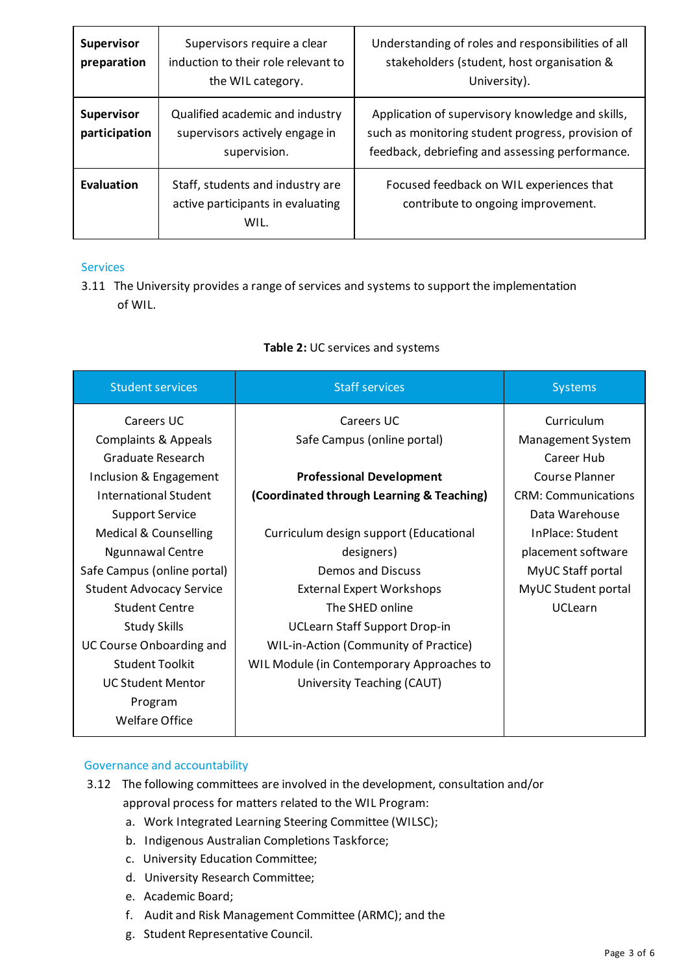| <b>Supervisor</b><br>preparation   | Supervisors require a clear<br>induction to their role relevant to<br>the WIL category. | Understanding of roles and responsibilities of all<br>stakeholders (student, host organisation &<br>University).                                         |
|------------------------------------|-----------------------------------------------------------------------------------------|----------------------------------------------------------------------------------------------------------------------------------------------------------|
| <b>Supervisor</b><br>participation | Qualified academic and industry<br>supervisors actively engage in<br>supervision.       | Application of supervisory knowledge and skills,<br>such as monitoring student progress, provision of<br>feedback, debriefing and assessing performance. |
| <b>Evaluation</b>                  | Staff, students and industry are<br>active participants in evaluating<br>WIL.           | Focused feedback on WIL experiences that<br>contribute to ongoing improvement.                                                                           |

### Services

3.11 The University provides a range of services and systems to support the implementation of WIL.

| <b>Student services</b>          | <b>Staff services</b>                     | <b>Systems</b>             |
|----------------------------------|-------------------------------------------|----------------------------|
| Careers UC                       | Careers UC                                | Curriculum                 |
| <b>Complaints &amp; Appeals</b>  | Safe Campus (online portal)               | <b>Management System</b>   |
| Graduate Research                |                                           | Career Hub                 |
| Inclusion & Engagement           | <b>Professional Development</b>           | <b>Course Planner</b>      |
| International Student            | (Coordinated through Learning & Teaching) | <b>CRM: Communications</b> |
| <b>Support Service</b>           |                                           | Data Warehouse             |
| <b>Medical &amp; Counselling</b> | Curriculum design support (Educational    | InPlace: Student           |
| <b>Ngunnawal Centre</b>          | designers)                                | placement software         |
| Safe Campus (online portal)      | Demos and Discuss                         | MyUC Staff portal          |
| <b>Student Advocacy Service</b>  | <b>External Expert Workshops</b>          | MyUC Student portal        |
| <b>Student Centre</b>            | The SHED online                           | <b>UCLearn</b>             |
| <b>Study Skills</b>              | <b>UCLearn Staff Support Drop-in</b>      |                            |
| UC Course Onboarding and         | WIL-in-Action (Community of Practice)     |                            |
| <b>Student Toolkit</b>           | WIL Module (in Contemporary Approaches to |                            |
| <b>UC Student Mentor</b>         | University Teaching (CAUT)                |                            |
| Program                          |                                           |                            |
| <b>Welfare Office</b>            |                                           |                            |

## **Table 2:** UC services and systems

## Governance and accountability

- 3.12 The following committees are involved in the development, consultation and/or approval process for matters related to the WIL Program:
	- a. Work Integrated Learning Steering Committee (WILSC);
	- b. Indigenous Australian Completions Taskforce;
	- c. University Education Committee;
	- d. University Research Committee;
	- e. Academic Board;
	- f. Audit and Risk Management Committee (ARMC); and the
	- g. Student Representative Council.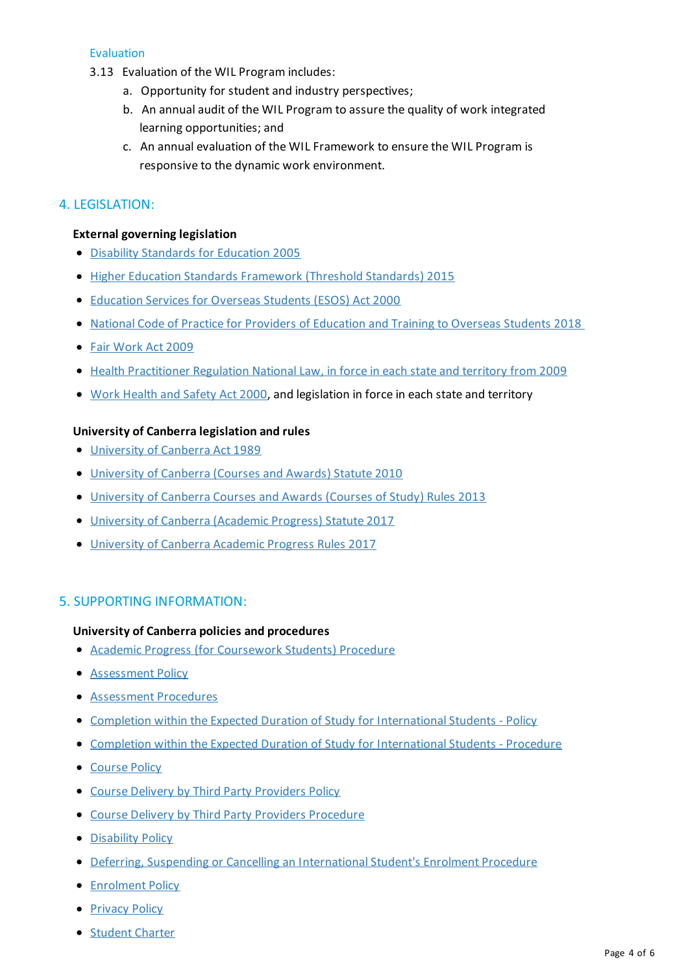## **Evaluation**

- 3.13 Evaluation of the WIL Program includes:
	- a. Opportunity for student and industry perspectives;
	- b. An annual audit of the WIL Program to assure the quality of work integrated learning opportunities; and
	- c. An annual evaluation of the WILFramework to ensure the WIL Program is responsive to the dynamic work environment.

## 4. LEGISLATION:

#### **External governing legislation**

- Disability Standards for Education 2005
- Higher Education Standards Framework (Threshold Standards) 2015
- [Education](https://www.legislation.gov.au/Details/C2020C00039) Services for Overseas Students (ESOS) Act 2000
- National Code of Practice for Providers of Education and Training to Overseas Students 2018
- Fair [Work](https://www.legislation.gov.au/Details/C2019C00270) Act 2009
- Health Practitioner Regulation National Law, in force in each state and territory from 2009
- Work [Health](https://www.legislation.gov.au/Details/C2018C00293) and Safety Act 2000, and legislation in force in each state and territory

### **University of Canberra legislation and rules**

- [University](https://www.legislation.gov.au/Details/C2004C07762) of Canberra Act 1989
- University of [Canberra\(Courses](https://www.legislation.act.gov.au/di/2010-166/default.asp) and Awards) Statute 2010
- [University](https://www.canberra.edu.au/about-uc/policy-and-legislation/legislation/rules/pdf-rules-2012/Courses-and-Awards-Courses-of-Study-Rules-2013.pdf) of Canberra Courses and Awards (Courses of Study) Rules 2013
- University of [Canberra\(Academic](https://www.legislation.act.gov.au/di/2017-306/) Progress) Statute 2017
- [University](https://www.canberra.edu.au/about-uc/policy-and-legislation/legislation/rules/pdf-rules-2012/University-of-Canberra-Academic-Progress-Rules-2017.pdf) of Canberra Academic Progress Rules 2017

## 5.SUPPORTING INFORMATION:

#### **University of Canberra policies and procedures**

- Academic Progress (for [Coursework](https://www.canberra.edu.au/Policies/PolicyProcedure/Index/344) Students) Procedure
- **[Assessment](https://www.canberra.edu.au/Policies/PolicyProcedure/Index/488) Policy**
- [Assessment](https://www.canberra.edu.au/Policies/PolicyProcedure/Index/516) Procedures
- Completion within the Expected Duration of Study for International Students Policy
- Completion within the Expected Duration of Study for International Students Procedure
- [Course](https://www.canberra.edu.au/Policies/PolicyProcedure/Index/465) Policy
- **Course Delivery by Third Party [Providers](https://www.canberra.edu.au/Policies/PolicyProcedure/Index/493) Policy**
- Course Delivery byThird Party Providers [Procedure](https://www.canberra.edu.au/Policies/PolicyProcedure/Index/494)
- [Disability](https://www.canberra.edu.au/Policies/PolicyProcedure/Index/370) Policy
- **Deferring, Suspending or Cancelling an International Student's Enrolment Procedure**
- **[Enrolment](https://www.canberra.edu.au/Policies/PolicyProcedure/Index/218) Policy**
- **[Privacy](https://www.canberra.edu.au/Policies/PolicyProcedure/Index/397) Policy**
- **[Student](https://www.canberra.edu.au/Policies/PolicyProcedure/Index/200) Charter**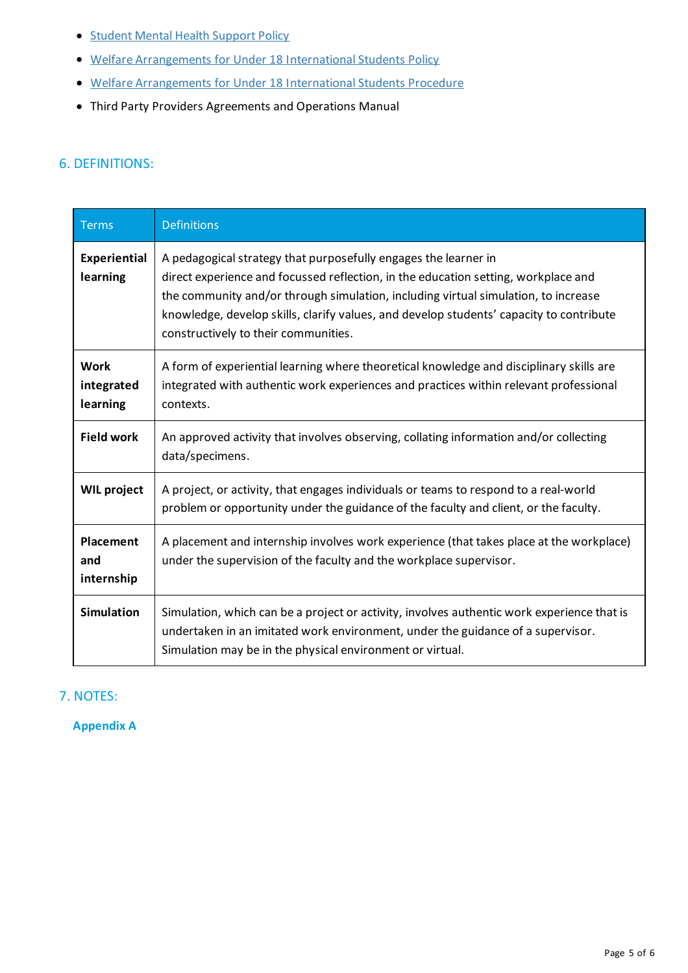- Student Mental Health Support Policy
- Welfare Arrangements for Under 18 International Students Policy
- Welfare Arrangements for Under 18 International Students Procedure
- Third Party Providers Agreements and Operations Manual

# 6. DEFINITIONS:

| <b>Terms</b>                          | <b>Definitions</b>                                                                                                                                                                                                                                                                                                                                                             |
|---------------------------------------|--------------------------------------------------------------------------------------------------------------------------------------------------------------------------------------------------------------------------------------------------------------------------------------------------------------------------------------------------------------------------------|
| <b>Experiential</b><br>learning       | A pedagogical strategy that purposefully engages the learner in<br>direct experience and focussed reflection, in the education setting, workplace and<br>the community and/or through simulation, including virtual simulation, to increase<br>knowledge, develop skills, clarify values, and develop students' capacity to contribute<br>constructively to their communities. |
| <b>Work</b><br>integrated<br>learning | A form of experiential learning where theoretical knowledge and disciplinary skills are<br>integrated with authentic work experiences and practices within relevant professional<br>contexts.                                                                                                                                                                                  |
| <b>Field work</b>                     | An approved activity that involves observing, collating information and/or collecting<br>data/specimens.                                                                                                                                                                                                                                                                       |
| <b>WIL project</b>                    | A project, or activity, that engages individuals or teams to respond to a real-world<br>problem or opportunity under the guidance of the faculty and client, or the faculty.                                                                                                                                                                                                   |
| <b>Placement</b><br>and<br>internship | A placement and internship involves work experience (that takes place at the workplace)<br>under the supervision of the faculty and the workplace supervisor.                                                                                                                                                                                                                  |
| <b>Simulation</b>                     | Simulation, which can be a project or activity, involves authentic work experience that is<br>undertaken in an imitated work environment, under the guidance of a supervisor.<br>Simulation may be in the physical environment or virtual.                                                                                                                                     |

# 7. NOTES:

**Appendix A**